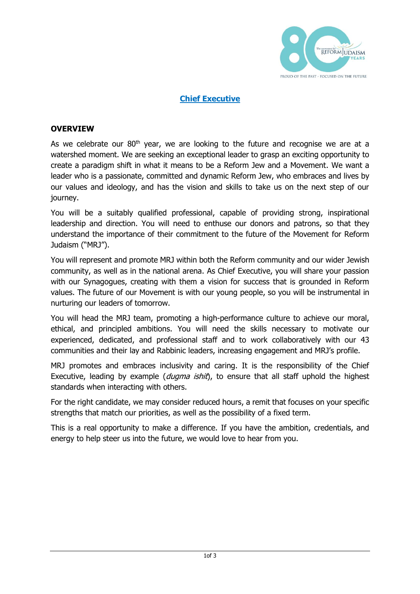

### **Chief Executive**

### **OVERVIEW**

As we celebrate our  $80<sup>th</sup>$  year, we are looking to the future and recognise we are at a watershed moment. We are seeking an exceptional leader to grasp an exciting opportunity to create a paradigm shift in what it means to be a Reform Jew and a Movement. We want a leader who is a passionate, committed and dynamic Reform Jew, who embraces and lives by our values and ideology, and has the vision and skills to take us on the next step of our journey.

You will be a suitably qualified professional, capable of providing strong, inspirational leadership and direction. You will need to enthuse our donors and patrons, so that they understand the importance of their commitment to the future of the Movement for Reform Judaism ("MRJ").

You will represent and promote MRJ within both the Reform community and our wider Jewish community, as well as in the national arena. As Chief Executive, you will share your passion with our Synagogues, creating with them a vision for success that is grounded in Reform values. The future of our Movement is with our young people, so you will be instrumental in nurturing our leaders of tomorrow.

You will head the MRJ team, promoting a high-performance culture to achieve our moral, ethical, and principled ambitions. You will need the skills necessary to motivate our experienced, dedicated, and professional staff and to work collaboratively with our 43 communities and their lay and Rabbinic leaders, increasing engagement and MRJ's profile.

MRJ promotes and embraces inclusivity and caring. It is the responsibility of the Chief Executive, leading by example (dugma ishit), to ensure that all staff uphold the highest standards when interacting with others.

For the right candidate, we may consider reduced hours, a remit that focuses on your specific strengths that match our priorities, as well as the possibility of a fixed term.

This is a real opportunity to make a difference. If you have the ambition, credentials, and energy to help steer us into the future, we would love to hear from you.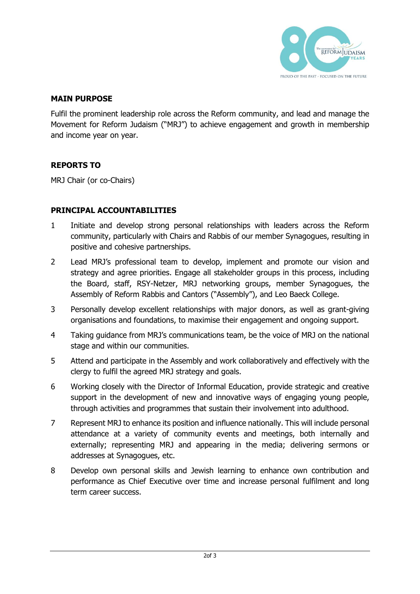

### **MAIN PURPOSE**

Fulfil the prominent leadership role across the Reform community, and lead and manage the Movement for Reform Judaism ("MRJ") to achieve engagement and growth in membership and income year on year.

# **REPORTS TO**

MRJ Chair (or co-Chairs)

### **PRINCIPAL ACCOUNTABILITIES**

- 1 Initiate and develop strong personal relationships with leaders across the Reform community, particularly with Chairs and Rabbis of our member Synagogues, resulting in positive and cohesive partnerships.
- 2 Lead MRJ's professional team to develop, implement and promote our vision and strategy and agree priorities. Engage all stakeholder groups in this process, including the Board, staff, RSY-Netzer, MRJ networking groups, member Synagogues, the Assembly of Reform Rabbis and Cantors ("Assembly"), and Leo Baeck College.
- 3 Personally develop excellent relationships with major donors, as well as grant-giving organisations and foundations, to maximise their engagement and ongoing support.
- 4 Taking guidance from MRJ's communications team, be the voice of MRJ on the national stage and within our communities.
- 5 Attend and participate in the Assembly and work collaboratively and effectively with the clergy to fulfil the agreed MRJ strategy and goals.
- 6 Working closely with the Director of Informal Education, provide strategic and creative support in the development of new and innovative ways of engaging young people, through activities and programmes that sustain their involvement into adulthood.
- 7 Represent MRJ to enhance its position and influence nationally. This will include personal attendance at a variety of community events and meetings, both internally and externally; representing MRJ and appearing in the media; delivering sermons or addresses at Synagogues, etc.
- 8 Develop own personal skills and Jewish learning to enhance own contribution and performance as Chief Executive over time and increase personal fulfilment and long term career success.